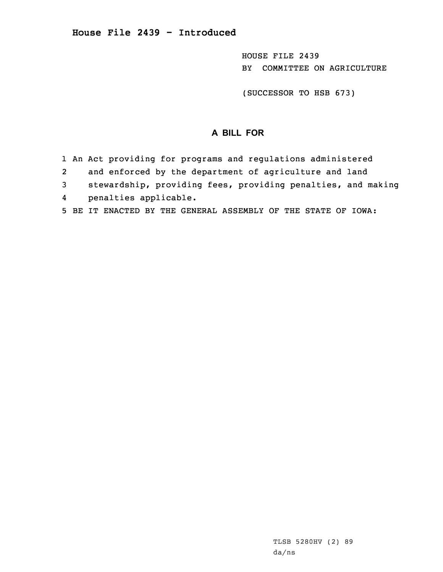HOUSE FILE 2439 BY COMMITTEE ON AGRICULTURE

(SUCCESSOR TO HSB 673)

## **A BILL FOR**

- 1 An Act providing for programs and regulations administered
- 2and enforced by the department of agriculture and land
- 3 stewardship, providing fees, providing penalties, and making
- 4penalties applicable.
- 5 BE IT ENACTED BY THE GENERAL ASSEMBLY OF THE STATE OF IOWA: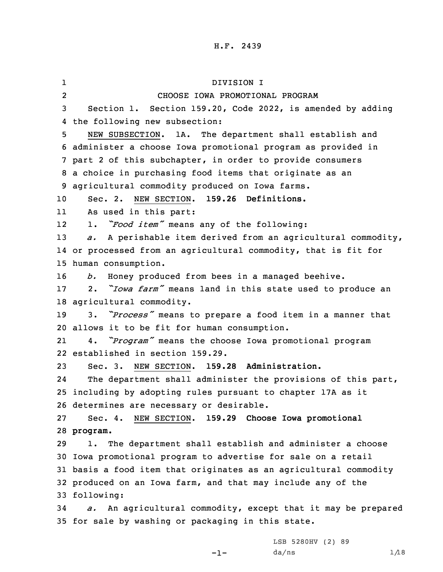| ı              | DIVISION I                                                                |
|----------------|---------------------------------------------------------------------------|
| $\overline{a}$ | CHOOSE IOWA PROMOTIONAL PROGRAM                                           |
| 3              | Section 1. Section 159.20, Code 2022, is amended by adding                |
| 4              | the following new subsection:                                             |
| 5              | NEW SUBSECTION.<br>1A. The department shall establish and                 |
|                | 6 administer a choose Iowa promotional program as provided in             |
|                | 7 part 2 of this subchapter, in order to provide consumers                |
|                | 8 a choice in purchasing food items that originate as an                  |
|                | 9 agricultural commodity produced on Iowa farms.                          |
| 10             | Sec. 2. NEW SECTION. 159.26 Definitions.                                  |
| 11             | As used in this part:                                                     |
| 12             | "Food item" means any of the following:<br>$\mathbf 1$ .                  |
| 13             | A perishable item derived from an agricultural commodity,<br>$\partial$ . |
|                | 14 or processed from an agricultural commodity, that is fit for           |
|                | 15 human consumption.                                                     |
| 16             | Honey produced from bees in a managed beehive.<br>b.                      |
| $17 \,$        | 2. "Iowa farm" means land in this state used to produce an                |
|                | 18 agricultural commodity.                                                |
| 19             | 3. "Process" means to prepare a food item in a manner that                |
|                | 20 allows it to be fit for human consumption.                             |
| 21             | 4. "Program" means the choose Iowa promotional program                    |
|                | 22 established in section 159.29.                                         |
| 23             | Sec. 3. NEW SECTION. 159.28 Administration.                               |
| 24             | The department shall administer the provisions of this part,              |
|                | 25 including by adopting rules pursuant to chapter 17A as it              |
|                | 26 determines are necessary or desirable.                                 |
| 27             | Sec. 4. NEW SECTION. 159.29 Choose Iowa promotional                       |
|                | 28 program.                                                               |
| 29             | 1. The department shall establish and administer a choose                 |
|                | 30 Iowa promotional program to advertise for sale on a retail             |
|                | 31 basis a food item that originates as an agricultural commodity         |
|                | 32 produced on an Iowa farm, and that may include any of the              |
|                | 33 following:                                                             |
| 34             | a. An agricultural commodity, except that it may be prepared              |
|                | 35 for sale by washing or packaging in this state.                        |

-1-

LSB 5280HV (2) 89  $da/ns$   $1/18$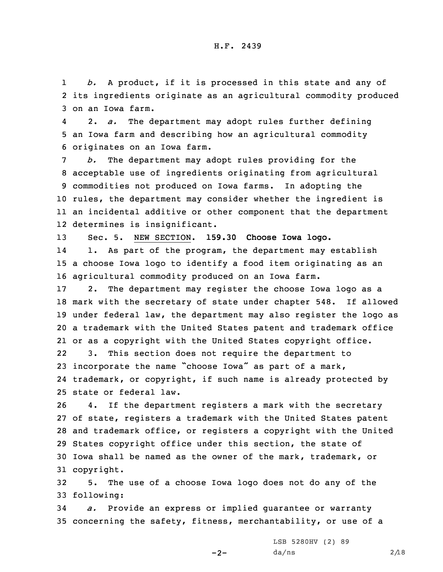1 *b.* <sup>A</sup> product, if it is processed in this state and any of 2 its ingredients originate as an agricultural commodity produced 3 on an Iowa farm.

4 2. *a.* The department may adopt rules further defining 5 an Iowa farm and describing how an agricultural commodity 6 originates on an Iowa farm.

 *b.* The department may adopt rules providing for the acceptable use of ingredients originating from agricultural commodities not produced on Iowa farms. In adopting the rules, the department may consider whether the ingredient is an incidental additive or other component that the department determines is insignificant.

13 Sec. 5. NEW SECTION. **159.30 Choose Iowa logo.**

14 1. As part of the program, the department may establish 15 <sup>a</sup> choose Iowa logo to identify <sup>a</sup> food item originating as an 16 agricultural commodity produced on an Iowa farm.

 2. The department may register the choose Iowa logo as <sup>a</sup> mark with the secretary of state under chapter 548. If allowed under federal law, the department may also register the logo as <sup>a</sup> trademark with the United States patent and trademark office or as <sup>a</sup> copyright with the United States copyright office.

22 3. This section does not require the department to <sup>23</sup> incorporate the name "choose Iowa" as part of <sup>a</sup> mark, 24 trademark, or copyright, if such name is already protected by 25 state or federal law.

 4. If the department registers <sup>a</sup> mark with the secretary of state, registers <sup>a</sup> trademark with the United States patent and trademark office, or registers <sup>a</sup> copyright with the United States copyright office under this section, the state of Iowa shall be named as the owner of the mark, trademark, or copyright.

32 5. The use of <sup>a</sup> choose Iowa logo does not do any of the 33 following:

34 *a.* Provide an express or implied guarantee or warranty 35 concerning the safety, fitness, merchantability, or use of <sup>a</sup>

 $-2-$ 

LSB 5280HV (2) 89  $da/ns$  2/18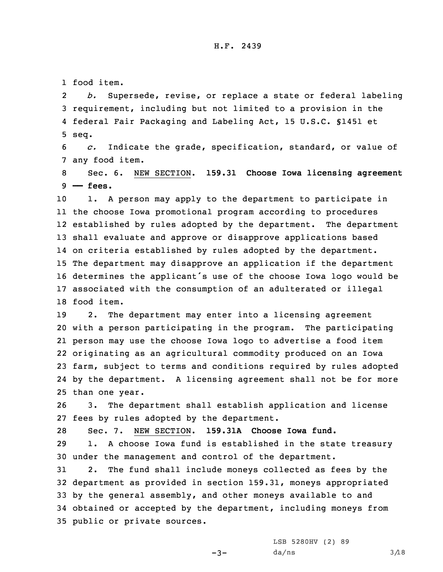1 food item.

2 *b.* Supersede, revise, or replace <sup>a</sup> state or federal labeling 3 requirement, including but not limited to <sup>a</sup> provision in the 4 federal Fair Packaging and Labeling Act, 15 U.S.C. §1451 et 5 seq.

6 *c.* Indicate the grade, specification, standard, or value of 7 any food item.

8 Sec. 6. NEW SECTION. **159.31 Choose Iowa licensing agreement** 9 **—— fees.**

 1. <sup>A</sup> person may apply to the department to participate in the choose Iowa promotional program according to procedures established by rules adopted by the department. The department shall evaluate and approve or disapprove applications based on criteria established by rules adopted by the department. The department may disapprove an application if the department determines the applicant's use of the choose Iowa logo would be associated with the consumption of an adulterated or illegal food item.

 2. The department may enter into <sup>a</sup> licensing agreement with <sup>a</sup> person participating in the program. The participating person may use the choose Iowa logo to advertise <sup>a</sup> food item originating as an agricultural commodity produced on an Iowa farm, subject to terms and conditions required by rules adopted by the department. <sup>A</sup> licensing agreement shall not be for more than one year.

26 3. The department shall establish application and license 27 fees by rules adopted by the department.

28 Sec. 7. NEW SECTION. **159.31A Choose Iowa fund.** 29 1. <sup>A</sup> choose Iowa fund is established in the state treasury 30 under the management and control of the department.

 2. The fund shall include moneys collected as fees by the department as provided in section 159.31, moneys appropriated by the general assembly, and other moneys available to and obtained or accepted by the department, including moneys from public or private sources.

 $-3-$ 

LSB 5280HV (2) 89  $da/ns$  3/18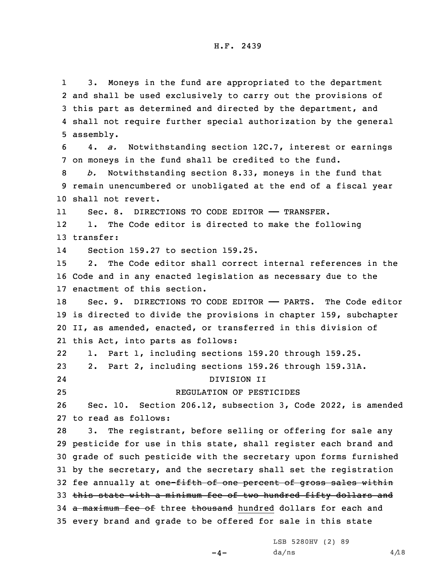1 3. Moneys in the fund are appropriated to the department and shall be used exclusively to carry out the provisions of this part as determined and directed by the department, and shall not require further special authorization by the general assembly. 4. *a.* Notwithstanding section 12C.7, interest or earnings on moneys in the fund shall be credited to the fund. *b.* Notwithstanding section 8.33, moneys in the fund that remain unencumbered or unobligated at the end of <sup>a</sup> fiscal year shall not revert. 11Sec. 8. DIRECTIONS TO CODE EDITOR - TRANSFER. 12 1. The Code editor is directed to make the following transfer: 14 Section 159.27 to section 159.25. 2. The Code editor shall correct internal references in the Code and in any enacted legislation as necessary due to the enactment of this section. Sec. 9. DIRECTIONS TO CODE EDITOR —— PARTS. The Code editor is directed to divide the provisions in chapter 159, subchapter II, as amended, enacted, or transferred in this division of this Act, into parts as follows: 22 1. Part 1, including sections 159.20 through 159.25. 2. Part 2, including sections 159.26 through 159.31A. 24 DIVISION II REGULATION OF PESTICIDES Sec. 10. Section 206.12, subsection 3, Code 2022, is amended to read as follows: 3. The registrant, before selling or offering for sale any pesticide for use in this state, shall register each brand and grade of such pesticide with the secretary upon forms furnished by the secretary, and the secretary shall set the registration 32 fee annually at one-fifth of one percent of gross sales within this state with <sup>a</sup> minimum fee of two hundred fifty dollars and 34 a maximum fee of three thousand hundred dollars for each and every brand and grade to be offered for sale in this state

LSB 5280HV (2) 89

 $-4-$ 

 $da/ns$  4/18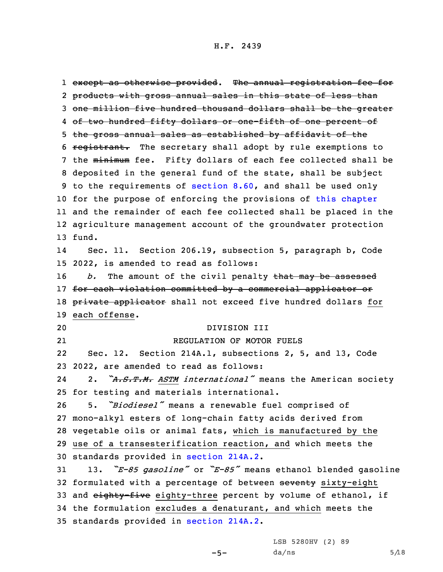1 e<del>xcept as otherwise provided</del>. The annual registration fee for 2 products with gross annual sales in this state of less than 3 one million five hundred thousand dollars shall be the greater 4 <del>of two hundred fifty dollars or one-fifth of one percent of</del> 5 the gross annual sales as established by affidavit of the 6 registrant. The secretary shall adopt by rule exemptions to 7 the minimum fee. Fifty dollars of each fee collected shall be 8 deposited in the general fund of the state, shall be subject 9 to the requirements of [section](https://www.legis.iowa.gov/docs/code/2022/8.60.pdf) 8.60, and shall be used only 10 for the purpose of enforcing the provisions of this [chapter](https://www.legis.iowa.gov/docs/code/2022/206.pdf) 11 and the remainder of each fee collected shall be placed in the 12 agriculture management account of the groundwater protection 13 fund. 14 Sec. 11. Section 206.19, subsection 5, paragraph b, Code 15 2022, is amended to read as follows: 16 *b.* The amount of the civil penalty that may be assessed 17 for each violation committed by a commercial applicator or 18 private applicator shall not exceed five hundred dollars for 19 each offense. 20 DIVISION III 21 REGULATION OF MOTOR FUELS 22 Sec. 12. Section 214A.1, subsections 2, 5, and 13, Code 23 2022, are amended to read as follows: 24 2. *"A.S.T.M. ASTM international"* means the American society 25 for testing and materials international. <sup>26</sup> 5. *"Biodiesel"* means <sup>a</sup> renewable fuel comprised of 27 mono-alkyl esters of long-chain fatty acids derived from 28 vegetable oils or animal fats, which is manufactured by the 29 use of <sup>a</sup> transesterification reaction, and which meets the 30 standards provided in [section](https://www.legis.iowa.gov/docs/code/2022/214A.2.pdf) 214A.2. <sup>31</sup> 13. *"E-85 gasoline"* or *"E-85"* means ethanol blended gasoline 32 formulated with a percentage of between seventy sixty-eight 33 and eighty-five eighty-three percent by volume of ethanol, if 34 the formulation excludes <sup>a</sup> denaturant, and which meets the 35 standards provided in [section](https://www.legis.iowa.gov/docs/code/2022/214A.2.pdf) 214A.2.

 $-5-$ 

LSB 5280HV (2) 89  $da/ns$  5/18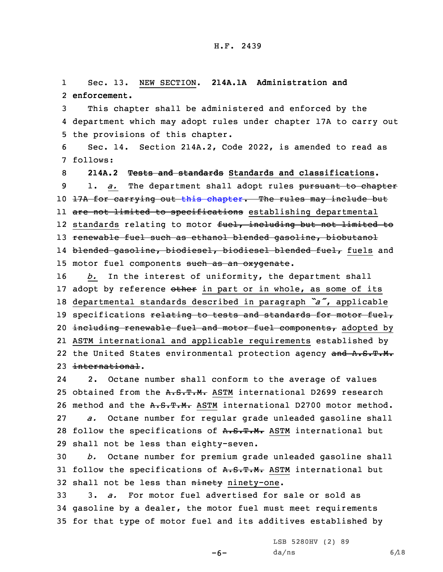1 Sec. 13. NEW SECTION. **214A.1A Administration and** 2 **enforcement.**

3 This chapter shall be administered and enforced by the 4 department which may adopt rules under chapter 17A to carry out 5 the provisions of this chapter.

6 Sec. 14. Section 214A.2, Code 2022, is amended to read as 7 follows:

8 **214A.2 Tests and standards Standards and classifications.** 9 1. *a.* The department shall adopt rules pursuant to chapter 10 17A for carrying out this [chapter](https://www.legis.iowa.gov/docs/code/2022/214A.pdf). The rules may include but ll <del>are not limited to specifications</del> establishing departmental 12 standards relating to motor <del>fuel, including but not limited to</del> 13 renewable fuel such as ethanol blended gasoline, biobutanol 14 <del>blended gasoline, biodiesel, biodiesel blended fuel,</del> fuels and 15 motor fuel components such as an oxygenate.

16 *b.* In the interest of uniformity, the department shall 17 adopt by reference other in part or in whole, as some of its <sup>18</sup> departmental standards described in paragraph *"a"*, applicable 19 specifications relating to tests and standards for motor fuel, 20 including renewable fuel and motor fuel components, adopted by 21 ASTM international and applicable requirements established by 22 the United States environmental protection agency and A.S.T.M. 23 international.

24 2. Octane number shall conform to the average of values 25 obtained from the A.S.T.M. ASTM international D2699 research 26 method and the A.S.T.M. ASTM international D2700 motor method. 27 *a.* Octane number for regular grade unleaded gasoline shall 28 follow the specifications of A.S.T.M. ASTM international but 29 shall not be less than eighty-seven.

30 *b.* Octane number for premium grade unleaded gasoline shall 31 follow the specifications of A.S.T.M. ASTM international but 32 shall not be less than ninety ninety-one.

33 3. *a.* For motor fuel advertised for sale or sold as 34 gasoline by <sup>a</sup> dealer, the motor fuel must meet requirements 35 for that type of motor fuel and its additives established by

 $-6-$ 

LSB 5280HV (2) 89  $da/ns$  6/18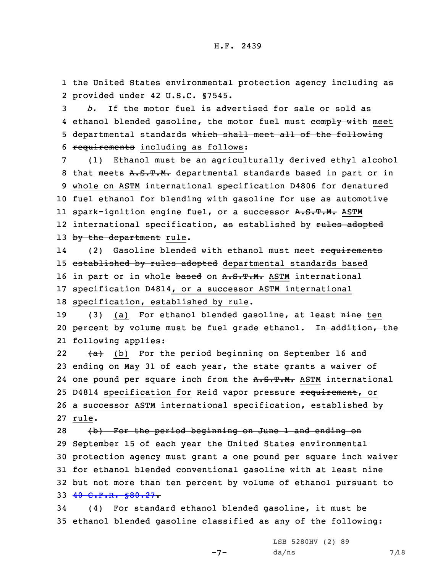1 the United States environmental protection agency including as 2 provided under 42 U.S.C. §7545.

 *b.* If the motor fuel is advertised for sale or sold as 4 ethanol blended gasoline, the motor fuel must comply with meet departmental standards which shall meet all of the following requirements including as follows:

7 (1) Ethanol must be an agriculturally derived ethyl alcohol 8 that meets A.S.T.M. departmental standards based in part or in 9 whole on ASTM international specification D4806 for denatured 10 fuel ethanol for blending with gasoline for use as automotive ll spark-ignition engine fuel, or a successor <del>A.S.T.M.</del> ASTM 12 international specification, <del>as</del> established by <del>rules adopted</del> 13 by the department rule.

14(2) Gasoline blended with ethanol must meet requirements 15 established by rules adopted departmental standards based 16 in part or in whole based on A.S.T.M. ASTM international 17 specification D4814, or <sup>a</sup> successor ASTM international 18 specification, established by rule.

19 (3) (a) For ethanol blended gasoline, at least nine ten 20 percent by volume must be fuel grade ethanol. In addition, the 21 <del>following applies:</del>

22 $(a)$  (b) For the period beginning on September 16 and 23 ending on May 31 of each year, the state grants <sup>a</sup> waiver of 24 one pound per square inch from the A.S.T.M. ASTM international 25 D4814 specification for Reid vapor pressure requirement, or 26 <sup>a</sup> successor ASTM international specification, established by 27 rule.

28 (b) For the period beginning on June 1 and ending on September 15 of each year the United States environmental protection agency must grant <sup>a</sup> one pound per square inch waiver 31 for ethanol blended conventional gasoline with at least nine but not more than ten percent by volume of ethanol pursuant to 40 C.F.R. [§80.27](https://www.law.cornell.edu/cfr/text/40/80.27). (4) For standard ethanol blended gasoline, it must be

35 ethanol blended gasoline classified as any of the following:

 $-7-$ 

LSB 5280HV (2) 89  $da/ns$  7/18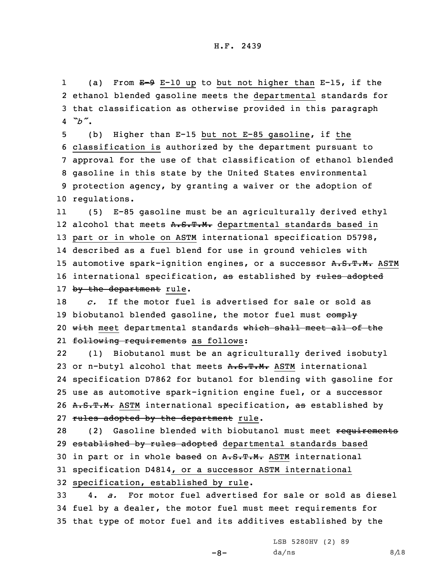1(a) From  $E-9$  E-10 up to but not higher than E-15, if the 2 ethanol blended gasoline meets the departmental standards for 3 that classification as otherwise provided in this paragraph 4 *"b"*.

 (b) Higher than E-15 but not E-85 gasoline, if the classification is authorized by the department pursuant to approval for the use of that classification of ethanol blended gasoline in this state by the United States environmental protection agency, by granting <sup>a</sup> waiver or the adoption of regulations.

11 (5) E-85 gasoline must be an agriculturally derived ethyl 12 alcohol that meets <del>A.S.T.M.</del> departmental standards based in 13 part or in whole on ASTM international specification D5798, 14 described as <sup>a</sup> fuel blend for use in ground vehicles with 15 automotive spark-ignition engines, or a successor A.S.T.M. ASTM 16 international specification, as established by rules adopted 17 by the department rule.

18 *c.* If the motor fuel is advertised for sale or sold as 19 biobutanol blended gasoline, the motor fuel must comply 20 with meet departmental standards which shall meet all of the 21 <del>following requirements</del> as follows:

22 (1) Biobutanol must be an agriculturally derived isobutyl 23 or n-butyl alcohol that meets A.S.T.M. ASTM international 24 specification D7862 for butanol for blending with gasoline for 25 use as automotive spark-ignition engine fuel, or <sup>a</sup> successor 26 A.S.T.M. ASTM international specification, as established by 27 rules adopted by the department rule.

28 (2) Gasoline blended with biobutanol must meet requirements 29 established by rules adopted departmental standards based 30 in part or in whole based on A.S.T.M. ASTM international 31 specification D4814, or <sup>a</sup> successor ASTM international 32 specification, established by rule.

33 4. *a.* For motor fuel advertised for sale or sold as diesel 34 fuel by <sup>a</sup> dealer, the motor fuel must meet requirements for 35 that type of motor fuel and its additives established by the

 $-8-$ 

LSB 5280HV (2) 89  $da/ns$  8/18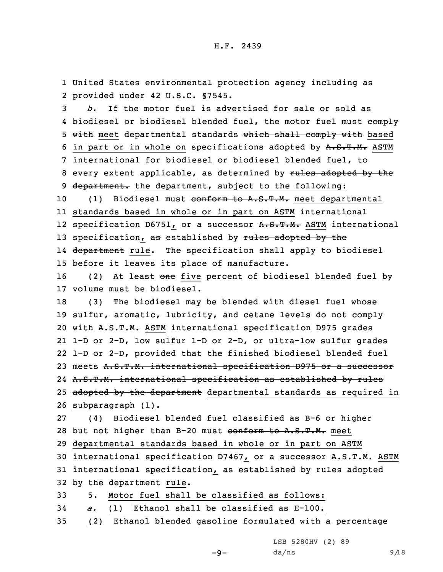1 United States environmental protection agency including as 2 provided under 42 U.S.C. §7545.

3 *b.* If the motor fuel is advertised for sale or sold as 4 biodiesel or biodiesel blended fuel, the motor fuel must  $\overline{\text{comply}}$ 5 with meet departmental standards which shall comply with based 6 in part or in whole on specifications adopted by A.S.T.M. ASTM 7 international for biodiesel or biodiesel blended fuel, to 8 every extent applicable, as determined by rules adopted by the 9 department. the department, subject to the following:

10 (1) Biodiesel must conform to A.S.T.M. meet departmental 11 standards based in whole or in part on ASTM international 12 specification D6751, or a successor A.S.T.M. ASTM international 13 specification, as established by rules adopted by the 14 <del>department</del> rule. The specification shall apply to biodiesel 15 before it leaves its place of manufacture.

16 (2) At least one five percent of biodiesel blended fuel by 17 volume must be biodiesel.

18 (3) The biodiesel may be blended with diesel fuel whose 19 sulfur, aromatic, lubricity, and cetane levels do not comply 20 with A.S.T.M. ASTM international specification D975 grades 21 1-D or 2-D, low sulfur 1-D or 2-D, or ultra-low sulfur grades 22 1-D or 2-D, provided that the finished biodiesel blended fuel 23 meets A.S.T.M. international specification D975 or a successor 24 <del>A.S.T.M. international specification as established by rules</del> 25 adopted by the department departmental standards as required in 26 subparagraph (1).

27 (4) Biodiesel blended fuel classified as B-6 or higher 28 but not higher than B-20 must conform to A.S.T.M. meet 29 departmental standards based in whole or in part on ASTM

30 international specification D7467, or a successor A.S.T.M. ASTM 31 international specification, as established by rules adopted 32 by the department rule.

33 5. Motor fuel shall be classified as follows:

- 34 *a.* (1) Ethanol shall be classified as E-100.
- 35 (2) Ethanol blended gasoline formulated with <sup>a</sup> percentage

LSB 5280HV (2) 89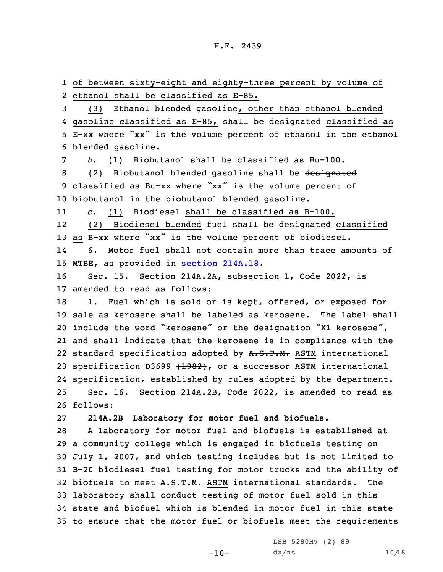of between sixty-eight and eighty-three percent by volume of ethanol shall be classified as E-85. (3) Ethanol blended gasoline, other than ethanol blended 4 gasoline classified as E-85, shall be <del>designated</del> classified as E-xx where "xx" is the volume percent of ethanol in the ethanol

6 blended gasoline.

 *b.* (1) Biobutanol shall be classified as Bu-100. 8 (2) Biobutanol blended gasoline shall be designated classified as Bu-xx where "xx" is the volume percent of biobutanol in the biobutanol blended gasoline.

11*c.* (1) Biodiesel shall be classified as B-100.

12 (2) Biodiesel blended fuel shall be designated classified <sup>13</sup> as B-xx where "xx" is the volume percent of biodiesel. 146. Motor fuel shall not contain more than trace amounts of

15 MTBE, as provided in section [214A.18](https://www.legis.iowa.gov/docs/code/2022/214A.18.pdf).

16 Sec. 15. Section 214A.2A, subsection 1, Code 2022, is 17 amended to read as follows:

18 1. Fuel which is sold or is kept, offered, or exposed for 19 sale as kerosene shall be labeled as kerosene. The label shall <sup>20</sup> include the word "kerosene" or the designation "K1 kerosene", 21 and shall indicate that the kerosene is in compliance with the 22 standard specification adopted by A.S.T.M. ASTM international 23 specification D3699 (1982), or a successor ASTM international 24 specification, established by rules adopted by the department.

25 Sec. 16. Section 214A.2B, Code 2022, is amended to read as 26 follows:

27 **214A.2B Laboratory for motor fuel and biofuels.**

 <sup>A</sup> laboratory for motor fuel and biofuels is established at <sup>a</sup> community college which is engaged in biofuels testing on July 1, 2007, and which testing includes but is not limited to B-20 biodiesel fuel testing for motor trucks and the ability of 32 biofuels to meet A.S.T.M. ASTM international standards. The laboratory shall conduct testing of motor fuel sold in this state and biofuel which is blended in motor fuel in this state to ensure that the motor fuel or biofuels meet the requirements

 $-10-$ 

LSB 5280HV (2) 89  $da/ns$  10/18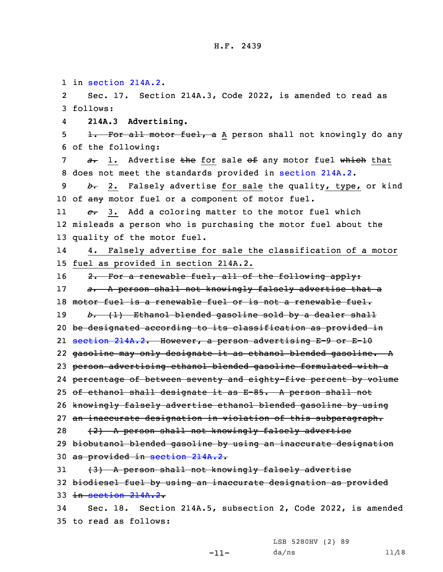1 in [section](https://www.legis.iowa.gov/docs/code/2022/214A.2.pdf) 214A.2.

2 Sec. 17. Section 214A.3, Code 2022, is amended to read as 3 follows:

4**214A.3 Advertising.**

5 1. For all motor fuel, a A person shall not knowingly do any 6 of the following:

7 *a*. 1. Advertise the for sale of any motor fuel which that 8 does not meet the standards provided in [section](https://www.legis.iowa.gov/docs/code/2022/214A.2.pdf) 214A.2.

9 *b.* 2. Falsely advertise for sale the quality, type, or kind 10 of any motor fuel or a component of motor fuel.

11 *c.* 3. Add <sup>a</sup> coloring matter to the motor fuel which 12 misleads <sup>a</sup> person who is purchasing the motor fuel about the 13 quality of the motor fuel.

14 4. Falsely advertise for sale the classification of <sup>a</sup> motor 15 fuel as provided in section 214A.2.

16 2. For a renewable fuel, all of the following apply:

17 *a.* <sup>A</sup> person shall not knowingly falsely advertise that <sup>a</sup>

18 motor fuel is a renewable fuel or is not a renewable fuel.

19 *b.* (1) Ethanol blended gasoline sold by <sup>a</sup> dealer shall

20 be designated according to its classification as provided in

21 [section](https://www.legis.iowa.gov/docs/code/2022/214A.2.pdf) 214A.2. However, <sup>a</sup> person advertising E-9 or E-10

22 gasoline may only designate it as ethanol blended gasoline. <sup>A</sup>

23 person advertising ethanol blended gasoline formulated with <sup>a</sup>

24 percentage of between seventy and eighty-five percent by volume

25 of ethanol shall designate it as E-85. <sup>A</sup> person shall not

26 knowingly falsely advertise ethanol blended gasoline by using

27 an inaccurate designation in violation of this subparagraph.

28 (2) A person shall not knowingly falsely advertise

29 biobutanol blended gasoline by using an inaccurate designation 30 as provided in [section](https://www.legis.iowa.gov/docs/code/2022/214A.2.pdf) 214A.2.

31 (3) A person shall not knowingly falsely advertise 32 biodiesel fuel by using an inaccurate designation as provided 33 in [section](https://www.legis.iowa.gov/docs/code/2022/214A.2.pdf) 214A.2.

-11-

34 Sec. 18. Section 214A.5, subsection 2, Code 2022, is amended 35 to read as follows:

> LSB 5280HV (2) 89  $da/ns$  11/18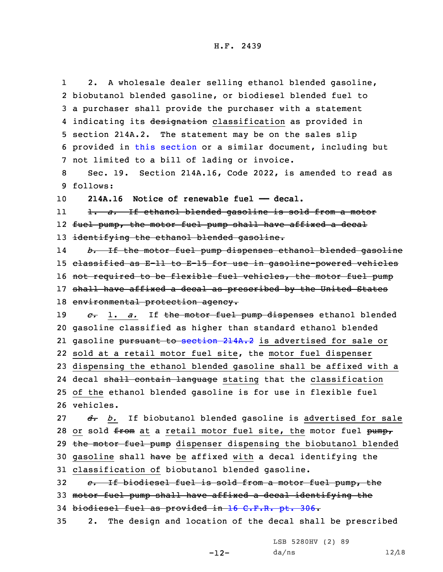1 2. <sup>A</sup> wholesale dealer selling ethanol blended gasoline, 2 biobutanol blended gasoline, or biodiesel blended fuel to 3 <sup>a</sup> purchaser shall provide the purchaser with <sup>a</sup> statement 4 indicating its <del>designation</del> classification as provided in 5 section 214A.2. The statement may be on the sales slip 6 provided in this [section](https://www.legis.iowa.gov/docs/code/2022/214A.5.pdf) or <sup>a</sup> similar document, including but 7 not limited to <sup>a</sup> bill of lading or invoice. 8 Sec. 19. Section 214A.16, Code 2022, is amended to read as 9 follows: 10 **214A.16 Notice of renewable fuel —— decal.** 11 1. *a.* If ethanol blended gasoline is sold from <sup>a</sup> motor 12 fuel pump, the motor fuel pump shall have affixed <sup>a</sup> decal 13 identifying the ethanol blended gasoline. 14 *b.* If the motor fuel pump dispenses ethanol blended gasoline 15 classified as E-11 to E-15 for use in gasoline-powered vehicles 16 not required to be flexible fuel vehicles, the motor fuel pump 17 shall have affixed a decal as prescribed by the United States 18 environmental protection agency. 19 *c.* 1. *a.* If the motor fuel pump dispenses ethanol blended 20 gasoline classified as higher than standard ethanol blended 21 gasoline <del>pursuant to [section](https://www.legis.iowa.gov/docs/code/2022/214A.2.pdf) 214A.2</del> is advertised for sale or 22 sold at <sup>a</sup> retail motor fuel site, the motor fuel dispenser 23 dispensing the ethanol blended gasoline shall be affixed with <sup>a</sup> 24 decal s<del>hall contain language</del> stating that the classification 25 of the ethanol blended gasoline is for use in flexible fuel 26 vehicles. 27 *d*. *b*. If biobutanol blended gasoline is advertised for sale 28 or sold from at a retail motor fuel site, the motor fuel pump, 29 the motor fuel pump dispenser dispensing the biobutanol blended 30 gasoline shall have be affixed with a decal identifying the 31 classification of biobutanol blended gasoline. 32 *e.* If biodiesel fuel is sold from <sup>a</sup> motor fuel pump, the 33 motor fuel pump shall have affixed <sup>a</sup> decal identifying the 34 biodiesel fuel as provided in 16 [C.F.R.](https://www.law.cornell.edu/cfr/text/16/part-306) pt. 306. 35 2. The design and location of the decal shall be prescribed

-12-

LSB 5280HV (2) 89  $da/ns$  12/18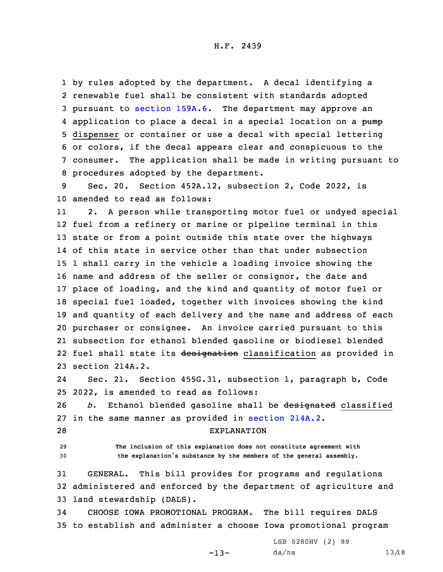by rules adopted by the department. <sup>A</sup> decal identifying <sup>a</sup> renewable fuel shall be consistent with standards adopted pursuant to [section](https://www.legis.iowa.gov/docs/code/2022/159A.6.pdf) 159A.6. The department may approve an 4 application to place a decal in a special location on a pump dispenser or container or use <sup>a</sup> decal with special lettering or colors, if the decal appears clear and conspicuous to the consumer. The application shall be made in writing pursuant to procedures adopted by the department.

9 Sec. 20. Section 452A.12, subsection 2, Code 2022, is 10 amended to read as follows:

11 2. <sup>A</sup> person while transporting motor fuel or undyed special fuel from <sup>a</sup> refinery or marine or pipeline terminal in this state or from <sup>a</sup> point outside this state over the highways of this state in service other than that under subsection 1 shall carry in the vehicle <sup>a</sup> loading invoice showing the name and address of the seller or consignor, the date and place of loading, and the kind and quantity of motor fuel or special fuel loaded, together with invoices showing the kind and quantity of each delivery and the name and address of each purchaser or consignee. An invoice carried pursuant to this subsection for ethanol blended gasoline or biodiesel blended 22 fuel shall state its <del>designation</del> classification as provided in section 214A.2.

24 Sec. 21. Section 455G.31, subsection 1, paragraph b, Code 25 2022, is amended to read as follows:

26 *b.* Ethanol blended gasoline shall be designated classified 27 in the same manner as provided in [section](https://www.legis.iowa.gov/docs/code/2022/214A.2.pdf) 214A.2.

28 EXPLANATION

29 **The inclusion of this explanation does not constitute agreement with** <sup>30</sup> **the explanation's substance by the members of the general assembly.**

31 GENERAL. This bill provides for programs and regulations 32 administered and enforced by the department of agriculture and 33 land stewardship (DALS).

34 CHOOSE IOWA PROMOTIONAL PROGRAM. The bill requires DALS 35 to establish and administer <sup>a</sup> choose Iowa promotional program

 $-13-$ 

LSB 5280HV (2) 89  $da/ns$  13/18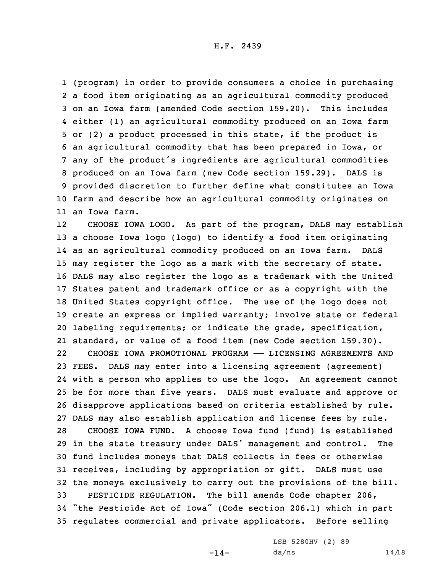(program) in order to provide consumers <sup>a</sup> choice in purchasing <sup>a</sup> food item originating as an agricultural commodity produced on an Iowa farm (amended Code section 159.20). This includes either (1) an agricultural commodity produced on an Iowa farm or (2) <sup>a</sup> product processed in this state, if the product is an agricultural commodity that has been prepared in Iowa, or any of the product's ingredients are agricultural commodities produced on an Iowa farm (new Code section 159.29). DALS is provided discretion to further define what constitutes an Iowa

H.F. 2439

10 farm and describe how an agricultural commodity originates on 11 an Iowa farm.

12 CHOOSE IOWA LOGO. As part of the program, DALS may establish <sup>a</sup> choose Iowa logo (logo) to identify <sup>a</sup> food item originating as an agricultural commodity produced on an Iowa farm. DALS may register the logo as <sup>a</sup> mark with the secretary of state. DALS may also register the logo as <sup>a</sup> trademark with the United States patent and trademark office or as <sup>a</sup> copyright with the United States copyright office. The use of the logo does not create an express or implied warranty; involve state or federal labeling requirements; or indicate the grade, specification, standard, or value of <sup>a</sup> food item (new Code section 159.30). 22 CHOOSE IOWA PROMOTIONAL PROGRAM —— LICENSING AGREEMENTS AND FEES. DALS may enter into <sup>a</sup> licensing agreement (agreement) with <sup>a</sup> person who applies to use the logo. An agreement cannot be for more than five years. DALS must evaluate and approve or disapprove applications based on criteria established by rule. DALS may also establish application and license fees by rule. CHOOSE IOWA FUND. <sup>A</sup> choose Iowa fund (fund) is established in the state treasury under DALS' management and control. The fund includes moneys that DALS collects in fees or otherwise receives, including by appropriation or gift. DALS must use the moneys exclusively to carry out the provisions of the bill. PESTICIDE REGULATION. The bill amends Code chapter 206, "the Pesticide Act of Iowa" (Code section 206.1) which in part regulates commercial and private applicators. Before selling

LSB 5280HV (2) 89

 $-14-$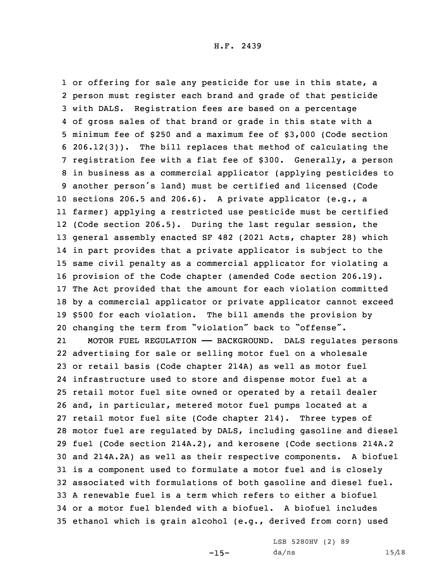1 or offering for sale any pesticide for use in this state, a person must register each brand and grade of that pesticide with DALS. Registration fees are based on <sup>a</sup> percentage of gross sales of that brand or grade in this state with <sup>a</sup> minimum fee of \$250 and <sup>a</sup> maximum fee of \$3,000 (Code section 206.12(3)). The bill replaces that method of calculating the registration fee with <sup>a</sup> flat fee of \$300. Generally, <sup>a</sup> person in business as <sup>a</sup> commercial applicator (applying pesticides to another person's land) must be certified and licensed (Code sections 206.5 and 206.6). <sup>A</sup> private applicator (e.g., <sup>a</sup> farmer) applying <sup>a</sup> restricted use pesticide must be certified (Code section 206.5). During the last regular session, the general assembly enacted SF 482 (2021 Acts, chapter 28) which in part provides that <sup>a</sup> private applicator is subject to the same civil penalty as <sup>a</sup> commercial applicator for violating <sup>a</sup> provision of the Code chapter (amended Code section 206.19). The Act provided that the amount for each violation committed by <sup>a</sup> commercial applicator or private applicator cannot exceed \$500 for each violation. The bill amends the provision by changing the term from "violation" back to "offense". 21 MOTOR FUEL REGULATION —— BACKGROUND. DALS regulates persons advertising for sale or selling motor fuel on <sup>a</sup> wholesale or retail basis (Code chapter 214A) as well as motor fuel infrastructure used to store and dispense motor fuel at <sup>a</sup> retail motor fuel site owned or operated by <sup>a</sup> retail dealer and, in particular, metered motor fuel pumps located at <sup>a</sup> retail motor fuel site (Code chapter 214). Three types of motor fuel are regulated by DALS, including gasoline and diesel fuel (Code section 214A.2), and kerosene (Code sections 214A.2 and 214A.2A) as well as their respective components. <sup>A</sup> biofuel is <sup>a</sup> component used to formulate <sup>a</sup> motor fuel and is closely associated with formulations of both gasoline and diesel fuel. A renewable fuel is <sup>a</sup> term which refers to either <sup>a</sup> biofuel or <sup>a</sup> motor fuel blended with <sup>a</sup> biofuel. A biofuel includes ethanol which is grain alcohol (e.g., derived from corn) used

-15-

LSB 5280HV (2) 89  $da/ns$  15/18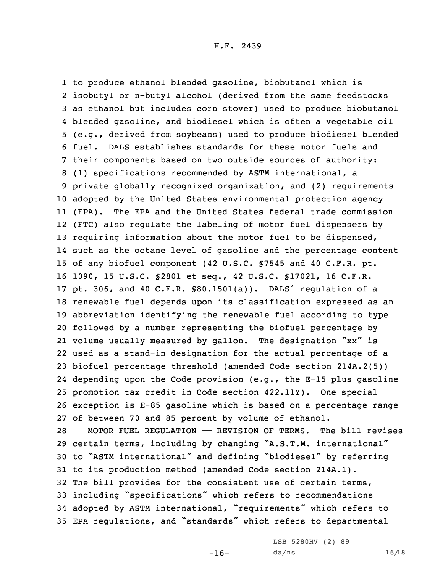to produce ethanol blended gasoline, biobutanol which is isobutyl or n-butyl alcohol (derived from the same feedstocks as ethanol but includes corn stover) used to produce biobutanol blended gasoline, and biodiesel which is often <sup>a</sup> vegetable oil (e.g., derived from soybeans) used to produce biodiesel blended fuel. DALS establishes standards for these motor fuels and their components based on two outside sources of authority: (1) specifications recommended by ASTM international, <sup>a</sup> private globally recognized organization, and (2) requirements adopted by the United States environmental protection agency (EPA). The EPA and the United States federal trade commission (FTC) also regulate the labeling of motor fuel dispensers by 13 requiring information about the motor fuel to be dispensed, such as the octane level of gasoline and the percentage content of any biofuel component (42 U.S.C. §7545 and 40 C.F.R. pt. 1090, 15 U.S.C. §2801 et seq., 42 U.S.C. §17021, 16 C.F.R. pt. 306, and <sup>40</sup> C.F.R. §80.1501(a)). DALS' regulation of <sup>a</sup> renewable fuel depends upon its classification expressed as an abbreviation identifying the renewable fuel according to type followed by <sup>a</sup> number representing the biofuel percentage by volume usually measured by gallon. The designation "xx" is used as <sup>a</sup> stand-in designation for the actual percentage of <sup>a</sup> biofuel percentage threshold (amended Code section 214A.2(5)) depending upon the Code provision (e.g., the E-15 plus gasoline promotion tax credit in Code section 422.11Y). One special exception is E-85 gasoline which is based on <sup>a</sup> percentage range of between 70 and 85 percent by volume of ethanol. MOTOR FUEL REGULATION —— REVISION OF TERMS. The bill revises

 certain terms, including by changing "A.S.T.M. international" to "ASTM international" and defining "biodiesel" by referring to its production method (amended Code section 214A.1). The bill provides for the consistent use of certain terms, including "specifications" which refers to recommendations adopted by ASTM international, "requirements" which refers to EPA regulations, and "standards" which refers to departmental

 $-16-$ 

LSB 5280HV (2) 89  $da/ns$  16/18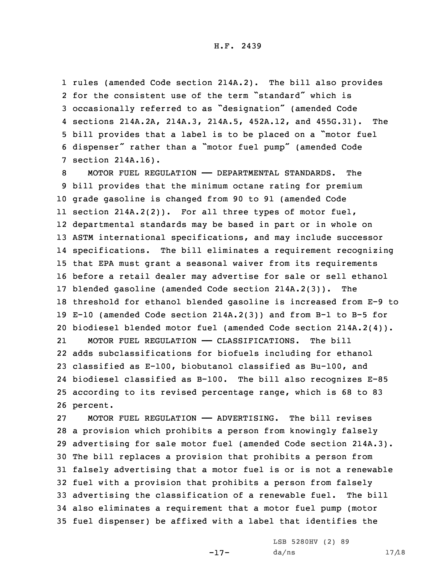rules (amended Code section 214A.2). The bill also provides for the consistent use of the term "standard" which is occasionally referred to as "designation" (amended Code sections 214A.2A, 214A.3, 214A.5, 452A.12, and 455G.31). The bill provides that <sup>a</sup> label is to be placed on <sup>a</sup> "motor fuel dispenser" rather than <sup>a</sup> "motor fuel pump" (amended Code section 214A.16).

 MOTOR FUEL REGULATION —— DEPARTMENTAL STANDARDS. The bill provides that the minimum octane rating for premium grade gasoline is changed from 90 to 91 (amended Code section 214A.2(2)). For all three types of motor fuel, departmental standards may be based in part or in whole on ASTM international specifications, and may include successor specifications. The bill eliminates <sup>a</sup> requirement recognizing that EPA must grant <sup>a</sup> seasonal waiver from its requirements before <sup>a</sup> retail dealer may advertise for sale or sell ethanol blended gasoline (amended Code section 214A.2(3)). The threshold for ethanol blended gasoline is increased from E-9 to E-10 (amended Code section 214A.2(3)) and from B-1 to B-5 for biodiesel blended motor fuel (amended Code section 214A.2(4)). 21 MOTOR FUEL REGULATION —— CLASSIFICATIONS. The bill adds subclassifications for biofuels including for ethanol classified as E-100, biobutanol classified as Bu-100, and biodiesel classified as B-100. The bill also recognizes E-85 according to its revised percentage range, which is 68 to 83 26 percent.

 MOTOR FUEL REGULATION —— ADVERTISING. The bill revises <sup>a</sup> provision which prohibits <sup>a</sup> person from knowingly falsely advertising for sale motor fuel (amended Code section 214A.3). The bill replaces <sup>a</sup> provision that prohibits <sup>a</sup> person from falsely advertising that <sup>a</sup> motor fuel is or is not <sup>a</sup> renewable fuel with <sup>a</sup> provision that prohibits <sup>a</sup> person from falsely advertising the classification of <sup>a</sup> renewable fuel. The bill also eliminates <sup>a</sup> requirement that <sup>a</sup> motor fuel pump (motor fuel dispenser) be affixed with <sup>a</sup> label that identifies the

-17-

LSB 5280HV (2) 89  $da/ns$  17/18